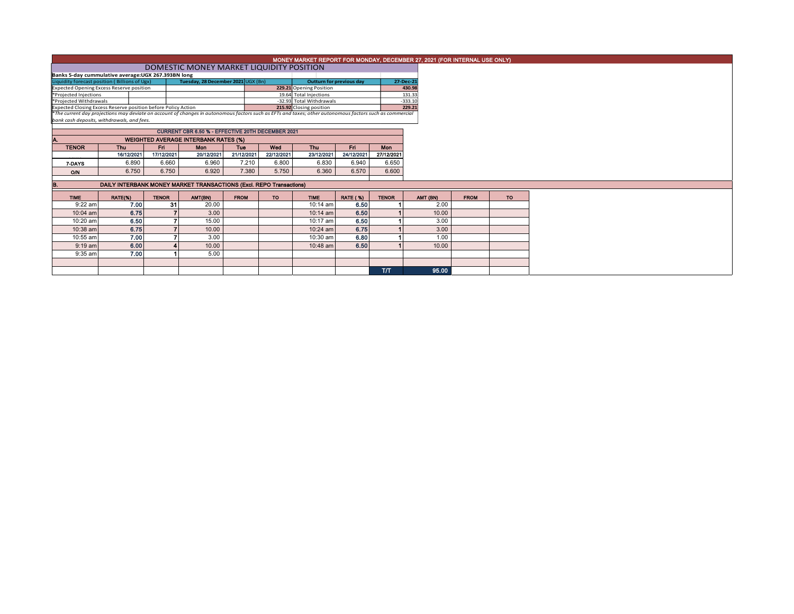|                                                                                                                                                          |                                                   |              |                                                                     |             |            |                          |                                 |              | MONEY MARKET REPORT FOR MONDAY, DECEMBER 27, 2021 (FOR INTERNAL USE ONLY) |             |           |  |
|----------------------------------------------------------------------------------------------------------------------------------------------------------|---------------------------------------------------|--------------|---------------------------------------------------------------------|-------------|------------|--------------------------|---------------------------------|--------------|---------------------------------------------------------------------------|-------------|-----------|--|
|                                                                                                                                                          |                                                   |              | DOMESTIC MONEY MARKET LIQUIDITY POSITION                            |             |            |                          |                                 |              |                                                                           |             |           |  |
|                                                                                                                                                          |                                                   |              |                                                                     |             |            |                          |                                 |              |                                                                           |             |           |  |
| Banks 5-day cummulative average: UGX 267.393BN long<br>Liquidity forecast position (Billions of Ugx)<br>Tuesday, 28 December 2021 UGX (Bn)               |                                                   |              |                                                                     |             |            |                          | <b>Outturn for previous day</b> | 27-Dec-21    |                                                                           |             |           |  |
| <b>Expected Opening Excess Reserve position</b>                                                                                                          |                                                   |              |                                                                     |             |            | 229.21 Opening Position  |                                 |              | 430.98                                                                    |             |           |  |
| *Projected Injections                                                                                                                                    |                                                   |              |                                                                     |             |            | 19.64 Total Injections   |                                 |              | 131.33                                                                    |             |           |  |
| *Projected Withdrawals                                                                                                                                   |                                                   |              |                                                                     |             |            | -32.93 Total Withdrawals |                                 |              | $-333.10$                                                                 |             |           |  |
| Expected Closing Excess Reserve position before Policy Action                                                                                            |                                                   |              |                                                                     |             |            | 215.92 Closing position  |                                 |              | 229.21                                                                    |             |           |  |
| *The current day projections may deviate on account of changes in autonomous factors such as EFTs and taxes; other autonomous factors such as commercial |                                                   |              |                                                                     |             |            |                          |                                 |              |                                                                           |             |           |  |
|                                                                                                                                                          | bank cash deposits, withdrawals, and fees.        |              |                                                                     |             |            |                          |                                 |              |                                                                           |             |           |  |
|                                                                                                                                                          | CURRENT CBR 6.50 % - EFFECTIVE 20TH DECEMBER 2021 |              |                                                                     |             |            |                          |                                 |              |                                                                           |             |           |  |
|                                                                                                                                                          | <b>WEIGHTED AVERAGE INTERBANK RATES (%)</b>       |              |                                                                     |             |            |                          |                                 |              |                                                                           |             |           |  |
| <b>TENOR</b>                                                                                                                                             | <b>Thu</b>                                        | Fri          | <b>Mon</b>                                                          | Tue         | Wed        | <b>Thu</b>               | Fri                             | <b>Mon</b>   |                                                                           |             |           |  |
|                                                                                                                                                          | 16/12/2021                                        | 17/12/2021   | 20/12/2021                                                          | 21/12/2021  | 22/12/2021 | 23/12/2021               | 24/12/2021                      | 27/12/2021   |                                                                           |             |           |  |
| 7-DAYS                                                                                                                                                   | 6.890                                             | 6.660        | 6.960                                                               | 7.210       | 6.800      | 6.830                    | 6.940                           | 6.650        |                                                                           |             |           |  |
| <b>O/N</b>                                                                                                                                               | 6.750                                             | 6.750        | 6.920                                                               | 7.380       | 5.750      | 6.360                    | 6.570                           | 6.600        |                                                                           |             |           |  |
|                                                                                                                                                          |                                                   |              |                                                                     |             |            |                          |                                 |              |                                                                           |             |           |  |
|                                                                                                                                                          |                                                   |              | DAILY INTERBANK MONEY MARKET TRANSACTIONS (Excl. REPO Transactions) |             |            |                          |                                 |              |                                                                           |             |           |  |
| <b>TIME</b>                                                                                                                                              | RATE(%)                                           | <b>TENOR</b> | AMT(BN)                                                             | <b>FROM</b> | <b>TO</b>  | <b>TIME</b>              | <b>RATE (%)</b>                 | <b>TENOR</b> | AMT (BN)                                                                  | <b>FROM</b> | <b>TO</b> |  |
| $9:22$ am                                                                                                                                                | 7.00                                              | 31           | 20.00                                                               |             |            | $10:14$ am               | 6.50                            |              | 2.00                                                                      |             |           |  |
| 10:04 am                                                                                                                                                 | 6.75                                              |              | 3.00                                                                |             |            | 10:14 am                 | 6.50                            |              | 10.00                                                                     |             |           |  |
| 10:20 am                                                                                                                                                 | 6.50                                              |              | 15.00                                                               |             |            | 10:17 am                 | 6.50                            |              | 3.00                                                                      |             |           |  |
| 10:38 am                                                                                                                                                 | 6.75                                              |              | 10.00                                                               |             |            | $10:24$ am               | 6.75                            |              | 3.00                                                                      |             |           |  |
| 10:55 am                                                                                                                                                 | 7.00                                              |              | 3.00                                                                |             |            | 10:30 am                 | 6.80                            |              | 1.00                                                                      |             |           |  |
| $9:19$ am                                                                                                                                                | 6.00                                              |              | 10.00                                                               |             |            | 10:48 am                 | 6.50                            |              | 10.00                                                                     |             |           |  |
| $9:35$ am                                                                                                                                                | 7.00                                              |              | 5.00                                                                |             |            |                          |                                 |              |                                                                           |             |           |  |
|                                                                                                                                                          |                                                   |              |                                                                     |             |            |                          |                                 |              |                                                                           |             |           |  |
|                                                                                                                                                          |                                                   |              |                                                                     |             |            |                          |                                 | <b>T/T</b>   | 95.00                                                                     |             |           |  |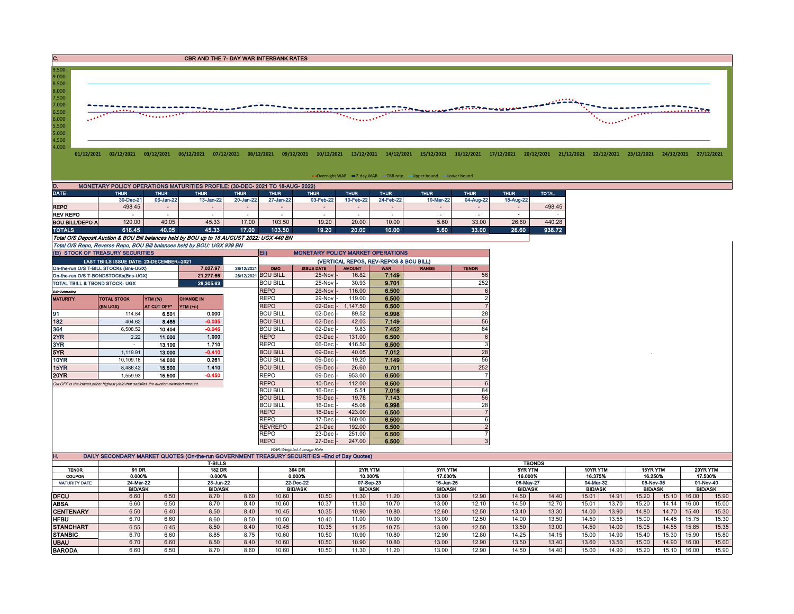C. CREASE CONSTRUCTION CONTINUES AND THE 7- DAY WAR INTERBANK RATES



• Overnight WAR = 7-day WAR CBR rate - Upper bound - Lower bound

| D.<br>MONETARY POLICY OPERATIONS MATURITIES PROFILE: (30-DEC- 2021 TO 18-AUG- 2022) |             |             |             |             |             |                |             |             |                          |             |             |              |  |  |
|-------------------------------------------------------------------------------------|-------------|-------------|-------------|-------------|-------------|----------------|-------------|-------------|--------------------------|-------------|-------------|--------------|--|--|
| <b>DATE</b>                                                                         | <b>THUR</b> | <b>THUR</b> | <b>THUR</b> | <b>THUR</b> | <b>THUR</b> | <b>THUR</b>    | <b>THUR</b> | <b>THUR</b> | <b>THUR</b>              | <b>THUR</b> | <b>THUR</b> | <b>TOTAL</b> |  |  |
|                                                                                     | 30-Dec-21   | 06-Jan-22   | 13-Jan-22   | 20-Jan-22   | 27-Jan-22   | 03-Feb-22      | 10-Feb-22   | 24-Feb-22   | 10-Mar-22                | 04-Aug-22   | 18-Aug-22   |              |  |  |
| <b>REPO</b>                                                                         | 498.45      |             |             |             |             | $\blacksquare$ |             |             | $\overline{\phantom{a}}$ |             |             | 498.45       |  |  |
| <b>REV REPO</b>                                                                     |             |             |             |             |             |                |             |             |                          |             |             |              |  |  |
| <b>BOU BILL/DEPO A</b>                                                              | 120.00      | 40.05       | 45.33       | 17.00       | 103.50      | 19.20          | 20.00       | 10.00       | 5.60                     | 33.00       | 26.60       | 440.28       |  |  |
| <b>TOTALS</b>                                                                       | 618.45      | 40.05       | 45.33       | 17.00       | 103.50      | 19.20          | 20.00       | 10.00       | 5.60                     | 33.00       | 26.60       | 938.72       |  |  |
|                                                                                     |             |             |             |             |             |                |             |             |                          |             |             |              |  |  |

Total O/S Deposit Auction & BOU Bill balances held by BOU up to 18 AUGUST 2022: UGX 440 BN

Total O/S Repo, Reverse Repo, BOU Bill balances held by BOU: UGX 939 BN

|                 | (EI) STOCK OF TREASURY SECURITIES                                                    |             |                  |            | Eii)<br><b>MONETARY POLICY MARKET OPERATIONS</b> |                   |               |       |                                                                                                                                                                                                                                                                                                                                                                           |                |  |  |  |  |  |  |  |
|-----------------|--------------------------------------------------------------------------------------|-------------|------------------|------------|--------------------------------------------------|-------------------|---------------|-------|---------------------------------------------------------------------------------------------------------------------------------------------------------------------------------------------------------------------------------------------------------------------------------------------------------------------------------------------------------------------------|----------------|--|--|--|--|--|--|--|
|                 | LAST TBIILS ISSUE DATE: 23-DECEMBER--2021                                            |             |                  |            |                                                  |                   |               |       | (VERTICAL REPOS, REV-REPOS & BOU BILL)<br><b>WAR</b><br><b>TENOR</b><br><b>RANGE</b><br>7.149<br>56<br>252<br>9.701<br>6.500<br>6<br>$\overline{2}$<br>6.500<br>6.500<br>28<br>6.998<br>56<br>7.149<br>84<br>7.452<br>6.500<br>6<br>3<br>6.500<br>28<br>7.012<br>56<br>7.149<br>9.701<br>252<br>6.500<br>6<br>6.500<br>84<br>7.016<br>56<br>7.143<br>28<br>6.998<br>6.500 |                |  |  |  |  |  |  |  |
|                 | On-the-run O/S T-BILL STOCKs (Bns-UGX)                                               |             | 7.027.97         | 28/12/2021 | OMO                                              | <b>ISSUE DATE</b> | <b>AMOUNT</b> |       |                                                                                                                                                                                                                                                                                                                                                                           |                |  |  |  |  |  |  |  |
|                 | On-the-run O/S T-BONDSTOCKs(Bns-UGX)                                                 |             | 21, 277.66       |            | 28/12/2021 BOU BILL                              | 25-Nov            | 16.82         |       |                                                                                                                                                                                                                                                                                                                                                                           |                |  |  |  |  |  |  |  |
|                 | <b>TOTAL TBILL &amp; TBOND STOCK- UGX</b>                                            |             | 28,305.63        |            | <b>BOU BILL</b>                                  | 25-Nov -          | 30.93         |       |                                                                                                                                                                                                                                                                                                                                                                           |                |  |  |  |  |  |  |  |
| O/S=Outstanding |                                                                                      |             |                  |            | <b>REPO</b>                                      | 26-Nov            | 116.00        |       |                                                                                                                                                                                                                                                                                                                                                                           |                |  |  |  |  |  |  |  |
| <b>MATURITY</b> | <b>TOTAL STOCK</b>                                                                   | YTM (%)     | <b>CHANGE IN</b> |            | <b>REPO</b>                                      | 29-Nov            | 119.00        |       |                                                                                                                                                                                                                                                                                                                                                                           |                |  |  |  |  |  |  |  |
|                 | (BN UGX)                                                                             | AT CUT OFF* | YTM (+/-)        |            | <b>REPO</b>                                      | 02-Dec            | 1,147.50      |       |                                                                                                                                                                                                                                                                                                                                                                           |                |  |  |  |  |  |  |  |
| 91              | 114.84                                                                               | 6.501       | 0.000            |            | <b>BOU BILL</b>                                  | 02-Dec            | 89.52         |       |                                                                                                                                                                                                                                                                                                                                                                           |                |  |  |  |  |  |  |  |
| 182             | 404.62                                                                               | 8.465       | $-0.035$         |            | <b>BOU BILL</b>                                  | $02$ -Dec $\cdot$ | 42.03         |       |                                                                                                                                                                                                                                                                                                                                                                           |                |  |  |  |  |  |  |  |
| 364             | 6.508.52                                                                             | 10.404      | $-0.046$         |            | <b>BOU BILL</b>                                  | $02$ -Dec $\cdot$ | 9.83          |       |                                                                                                                                                                                                                                                                                                                                                                           |                |  |  |  |  |  |  |  |
| 2YR             | 2.22                                                                                 | 11.000      | 1.000            |            | <b>REPO</b>                                      | $03$ -Dec $\cdot$ | 131.00        |       |                                                                                                                                                                                                                                                                                                                                                                           |                |  |  |  |  |  |  |  |
| 3YR             | $\sim$                                                                               | 13.100      | 1.710            |            | <b>REPO</b>                                      | 06-Dec            | 416.50        |       |                                                                                                                                                                                                                                                                                                                                                                           |                |  |  |  |  |  |  |  |
| 5YR             | 1,119.91                                                                             | 13.000      | $-0.410$         |            | <b>BOU BILL</b>                                  | 09-Dec            | 40.05         |       |                                                                                                                                                                                                                                                                                                                                                                           |                |  |  |  |  |  |  |  |
| <b>10YR</b>     | 10.109.18                                                                            | 14.000      | 0.261            |            | <b>BOU BILL</b>                                  | 09-Dec            | 19.20         |       |                                                                                                                                                                                                                                                                                                                                                                           |                |  |  |  |  |  |  |  |
| <b>15YR</b>     | 8,486.42                                                                             | 15.500      | 1.410            |            | <b>BOU BILL</b>                                  | $09$ -Dec $\cdot$ | 26.60         |       |                                                                                                                                                                                                                                                                                                                                                                           |                |  |  |  |  |  |  |  |
| <b>20YR</b>     | 1.559.93                                                                             | 15.500      | $-0.450$         |            | <b>REPO</b>                                      | 09-Dec            | 953.00        |       |                                                                                                                                                                                                                                                                                                                                                                           |                |  |  |  |  |  |  |  |
|                 | Cut OFF is the lowest price/highest vield that satisfies the auction awarded amount. |             |                  |            | <b>REPO</b>                                      | $10$ -Dec         | 112.00        |       |                                                                                                                                                                                                                                                                                                                                                                           |                |  |  |  |  |  |  |  |
|                 |                                                                                      |             |                  |            | <b>BOU BILL</b>                                  | 16-Dec            | 5.51          |       |                                                                                                                                                                                                                                                                                                                                                                           |                |  |  |  |  |  |  |  |
|                 |                                                                                      |             |                  |            | <b>BOU BILL</b>                                  | $16$ -Dec $\cdot$ | 19.78         |       |                                                                                                                                                                                                                                                                                                                                                                           |                |  |  |  |  |  |  |  |
|                 |                                                                                      |             |                  |            | <b>BOU BILL</b>                                  | 16-Dec            | 45.08         |       |                                                                                                                                                                                                                                                                                                                                                                           |                |  |  |  |  |  |  |  |
|                 |                                                                                      |             |                  |            | <b>REPO</b>                                      | $16$ -Dec $\cdot$ | 423.00        |       |                                                                                                                                                                                                                                                                                                                                                                           |                |  |  |  |  |  |  |  |
|                 |                                                                                      |             |                  |            | <b>REPO</b>                                      | 17-Dec            | 160.00        | 6.500 |                                                                                                                                                                                                                                                                                                                                                                           | 6              |  |  |  |  |  |  |  |
|                 |                                                                                      |             |                  |            | <b>REVREPO</b>                                   | 21-Dec            | 192.00        | 6.500 |                                                                                                                                                                                                                                                                                                                                                                           | $\overline{2}$ |  |  |  |  |  |  |  |
|                 |                                                                                      |             |                  |            | <b>REPO</b>                                      | 23-Decl           | 251.00        | 6.500 |                                                                                                                                                                                                                                                                                                                                                                           |                |  |  |  |  |  |  |  |
|                 |                                                                                      |             |                  |            | <b>REPO</b>                                      | 27-Dec -          | 247.00        | 6.500 |                                                                                                                                                                                                                                                                                                                                                                           |                |  |  |  |  |  |  |  |

|                      |                                                                                               |      |                |      |        | WAR-Weighted Average Rate |                |               |       |                |       |                |          |                |                |           |          |                |  |  |
|----------------------|-----------------------------------------------------------------------------------------------|------|----------------|------|--------|---------------------------|----------------|---------------|-------|----------------|-------|----------------|----------|----------------|----------------|-----------|----------|----------------|--|--|
| н.                   | DAILY SECONDARY MARKET QUOTES (On-the-run GOVERNMENT TREASURY SECURITIES - End of Day Quotes) |      |                |      |        |                           |                |               |       |                |       |                |          |                |                |           |          |                |  |  |
|                      | <b>T-BILLS</b>                                                                                |      |                |      |        |                           |                | <b>TBONDS</b> |       |                |       |                |          |                |                |           |          |                |  |  |
| <b>TENOR</b>         | 91 DR                                                                                         |      | <b>182 DR</b>  |      | 364 DR |                           | 2YR YTM        |               |       | <b>3YR YTM</b> |       | 5YR YTM        | 10YR YTM |                | 15YR YTM       |           | 20YR YTM |                |  |  |
| <b>COUPON</b>        | 0.000%                                                                                        |      | 0.000%         |      | 0.000% |                           | 10.000%        |               |       | 17.000%        |       | 16.000%        |          | 16.375%        | 16.250%        |           | 17.500%  |                |  |  |
| <b>MATURITY DATE</b> | 24-Mar-22                                                                                     |      | 23-Jun-22      |      |        | 22-Dec-22<br>07-Sep-23    |                |               |       | 16-Jan-25      |       | 06-May-27      |          | 04-Mar-32      |                | 08-Nov-35 |          | 01-Nov-40      |  |  |
|                      | <b>BID/ASK</b>                                                                                |      | <b>BID/ASK</b> |      |        | <b>BID/ASK</b>            | <b>BID/ASK</b> |               |       | <b>BID/ASK</b> |       | <b>BID/ASK</b> |          | <b>BID/ASK</b> | <b>BID/ASK</b> |           |          | <b>BID/ASK</b> |  |  |
| <b>DFCU</b>          | 6.60                                                                                          | 6.50 | 8.70           | 8.60 | 10.60  | 10.50                     | 11.30          | 11.20         | 13.00 | 12.90          | 14.50 | 14.40          | 15.01    | 14.91          | 15.20          | 15.10     | 16.00    | 15.90          |  |  |
| <b>ABSA</b>          | 6.60                                                                                          | 6.50 | 8.70           | 8.40 | 10.60  | 10.37                     | 11.30          | 10.70         | 13.00 | 12.10          | 14.50 | 12.70          | 15.01    | 13.70          | 15.20          | 14.14     | 16.00    | 15.00          |  |  |
| <b>CENTENARY</b>     | 6.50                                                                                          | 6.40 | 8.50           | 8.40 | 10.45  | 10.35                     | 10.90          | 10.80         | 12.60 | 12.50          | 13.40 | 13.30          | 14.00    | 13.90          | 14.80          | 14.70     | 15.40    | 15.30          |  |  |
| <b>HFBU</b>          | 6.70                                                                                          | 6.60 | 8.60           | 8.50 | 10.50  | 10.40                     | 11.00          | 10.90         | 13.00 | 12.50          | 14.00 | 13.50          | 14.50    | 13.55          | 15.00          | 14.45     | 15.75    | 15.30          |  |  |
| <b>STANCHART</b>     | 6.55                                                                                          | 6.45 | 8.50           | 8.40 | 10.45  | 10.35                     | 11.25          | 10.75         | 13.00 | 12.50          | 13.50 | 13.00          | 14.50    | 14.00          | 15.05          | 14.55     | 15.85    | 15.35          |  |  |
| <b>STANBIC</b>       | 6.70                                                                                          | 6.60 | 8.85           | 8.75 | 10.60  | 10.50                     | 10.90          | 10.80         | 12.90 | 12.80          | 14.25 | 14.15          | 15.00    | 14.90          | 15.40          | 15.30     | 15.90    | 15.80          |  |  |
| <b>UBAU</b>          | 6.70                                                                                          | 6.60 | 8.50           | 8.40 | 10.60  | 10.50                     | 10.90          | 10.80         | 13.00 | 12.90          | 13.50 | 13.40          | 13.60    | 13.50          | 15.00          | 14.90     | 16.00    | 15.00          |  |  |
| <b>BARODA</b>        | 6.60                                                                                          | 6.50 | 8.70           | 8.60 | 10.60  | 10.50                     | 11.30          | 11.20         | 13.00 | 12.90          | 14.50 | 14.40          | 15.00    | 14.90          | 15.20          | 15.10     | 16.00    | 15.90          |  |  |